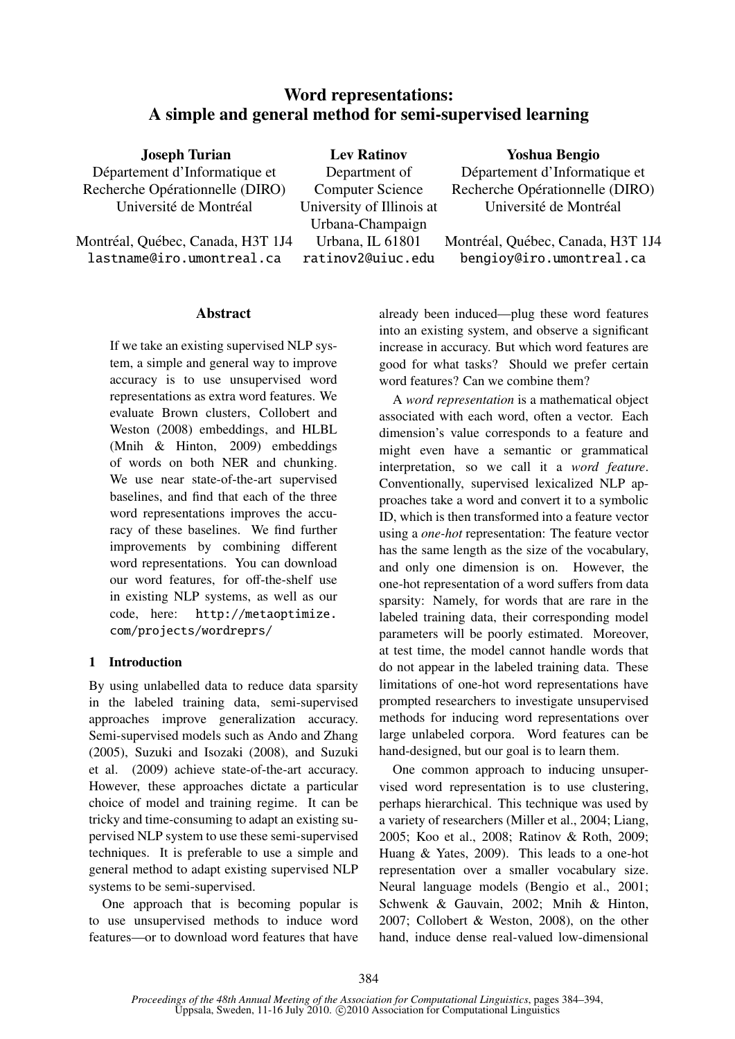# Word representations: A simple and general method for semi-supervised learning

Joseph Turian Département d'Informatique et Recherche Opérationnelle (DIRO) Université de Montréal

Montréal, Québec, Canada, H3T 1J4 lastname@iro.umontreal.ca

Lev Ratinov Department of Computer Science University of Illinois at Urbana-Champaign Urbana, IL 61801 ratinov2@uiuc.edu

Yoshua Bengio

Département d'Informatique et Recherche Opérationnelle (DIRO) Université de Montréal

Montréal, Québec, Canada, H3T 1J4 bengioy@iro.umontreal.ca

## **Abstract**

If we take an existing supervised NLP system, a simple and general way to improve accuracy is to use unsupervised word representations as extra word features. We evaluate Brown clusters, Collobert and Weston (2008) embeddings, and HLBL (Mnih & Hinton, 2009) embeddings of words on both NER and chunking. We use near state-of-the-art supervised baselines, and find that each of the three word representations improves the accuracy of these baselines. We find further improvements by combining different word representations. You can download our word features, for off-the-shelf use in existing NLP systems, as well as our code, here: http://metaoptimize. com/projects/wordreprs/

## 1 Introduction

By using unlabelled data to reduce data sparsity in the labeled training data, semi-supervised approaches improve generalization accuracy. Semi-supervised models such as Ando and Zhang (2005), Suzuki and Isozaki (2008), and Suzuki et al. (2009) achieve state-of-the-art accuracy. However, these approaches dictate a particular choice of model and training regime. It can be tricky and time-consuming to adapt an existing supervised NLP system to use these semi-supervised techniques. It is preferable to use a simple and general method to adapt existing supervised NLP systems to be semi-supervised.

One approach that is becoming popular is to use unsupervised methods to induce word features—or to download word features that have already been induced—plug these word features into an existing system, and observe a significant increase in accuracy. But which word features are good for what tasks? Should we prefer certain word features? Can we combine them?

A *word representation* is a mathematical object associated with each word, often a vector. Each dimension's value corresponds to a feature and might even have a semantic or grammatical interpretation, so we call it a *word feature*. Conventionally, supervised lexicalized NLP approaches take a word and convert it to a symbolic ID, which is then transformed into a feature vector using a *one-hot* representation: The feature vector has the same length as the size of the vocabulary, and only one dimension is on. However, the one-hot representation of a word suffers from data sparsity: Namely, for words that are rare in the labeled training data, their corresponding model parameters will be poorly estimated. Moreover, at test time, the model cannot handle words that do not appear in the labeled training data. These limitations of one-hot word representations have prompted researchers to investigate unsupervised methods for inducing word representations over large unlabeled corpora. Word features can be hand-designed, but our goal is to learn them.

One common approach to inducing unsupervised word representation is to use clustering, perhaps hierarchical. This technique was used by a variety of researchers (Miller et al., 2004; Liang, 2005; Koo et al., 2008; Ratinov & Roth, 2009; Huang & Yates, 2009). This leads to a one-hot representation over a smaller vocabulary size. Neural language models (Bengio et al., 2001; Schwenk & Gauvain, 2002; Mnih & Hinton, 2007; Collobert & Weston, 2008), on the other hand, induce dense real-valued low-dimensional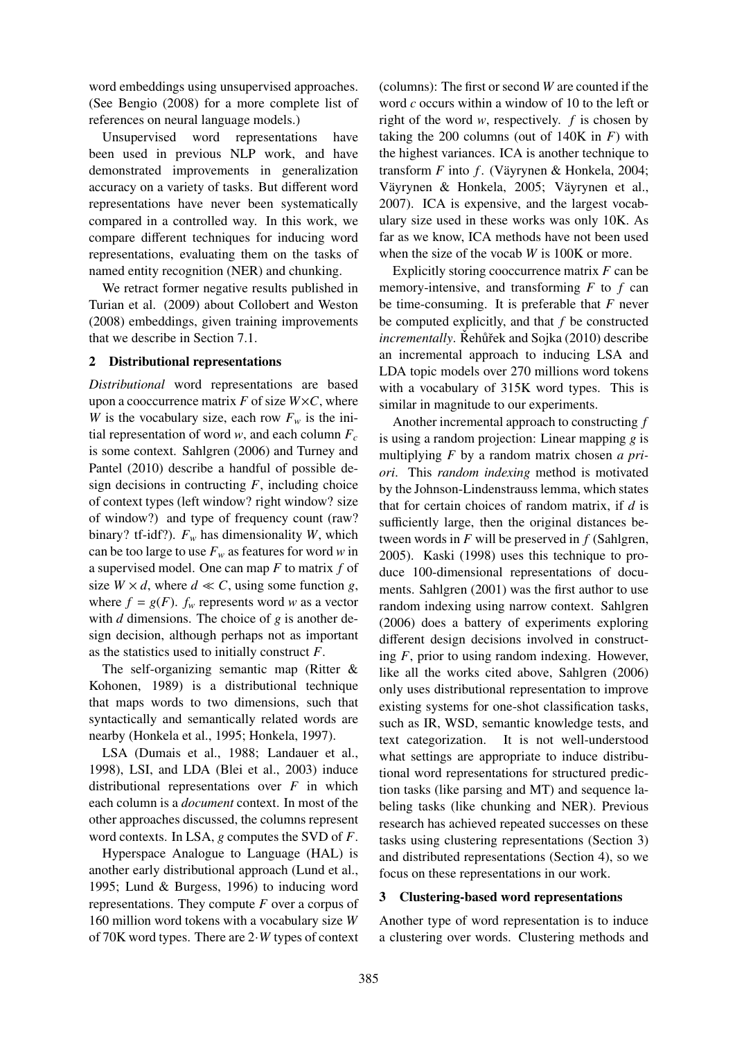word embeddings using unsupervised approaches. (See Bengio (2008) for a more complete list of references on neural language models.)

Unsupervised word representations have been used in previous NLP work, and have demonstrated improvements in generalization accuracy on a variety of tasks. But different word representations have never been systematically compared in a controlled way. In this work, we compare different techniques for inducing word representations, evaluating them on the tasks of named entity recognition (NER) and chunking.

We retract former negative results published in Turian et al. (2009) about Collobert and Weston (2008) embeddings, given training improvements that we describe in Section 7.1.

### 2 Distributional representations

*Distributional* word representations are based upon a cooccurrence matrix  $F$  of size  $W \times C$ , where *W* is the vocabulary size, each row  $F_w$  is the initial representation of word *w*, and each column  $F_c$ is some context. Sahlgren (2006) and Turney and Pantel (2010) describe a handful of possible design decisions in contructing  $F$ , including choice of context types (left window? right window? size of window?) and type of frequency count (raw? binary? tf-idf?).  $F_w$  has dimensionality *W*, which can be too large to use  $F_w$  as features for word *w* in a supervised model. One can map *F* to matrix *f* of size  $W \times d$ , where  $d \ll C$ , using some function *g*, where  $f = g(F)$ .  $f_w$  represents word *w* as a vector with *d* dimensions. The choice of *g* is another design decision, although perhaps not as important as the statistics used to initially construct *F*.

The self-organizing semantic map (Ritter & Kohonen, 1989) is a distributional technique that maps words to two dimensions, such that syntactically and semantically related words are nearby (Honkela et al., 1995; Honkela, 1997).

LSA (Dumais et al., 1988; Landauer et al., 1998), LSI, and LDA (Blei et al., 2003) induce distributional representations over *F* in which each column is a *document* context. In most of the other approaches discussed, the columns represent word contexts. In LSA, *g* computes the SVD of *F*.

Hyperspace Analogue to Language (HAL) is another early distributional approach (Lund et al., 1995; Lund & Burgess, 1996) to inducing word representations. They compute *F* over a corpus of 160 million word tokens with a vocabulary size *W* of 70K word types. There are 2·*W* types of context

(columns): The first or second *W* are counted if the word *c* occurs within a window of 10 to the left or right of the word *w*, respectively. *f* is chosen by taking the 200 columns (out of  $140K$  in  $F$ ) with the highest variances. ICA is another technique to transform  $F$  into  $f$ . (Väyrynen & Honkela, 2004; Väyrynen & Honkela, 2005; Väyrynen et al., 2007). ICA is expensive, and the largest vocabulary size used in these works was only 10K. As far as we know, ICA methods have not been used when the size of the vocab *W* is 100K or more.

Explicitly storing cooccurrence matrix *F* can be memory-intensive, and transforming *F* to *f* can be time-consuming. It is preferable that *F* never be computed explicitly, and that *f* be constructed *incrementally*. Řehůřek and Sojka (2010) describe an incremental approach to inducing LSA and LDA topic models over 270 millions word tokens with a vocabulary of 315K word types. This is similar in magnitude to our experiments.

Another incremental approach to constructing *f* is using a random projection: Linear mapping *g* is multiplying *F* by a random matrix chosen *a priori*. This *random indexing* method is motivated by the Johnson-Lindenstrauss lemma, which states that for certain choices of random matrix, if *d* is sufficiently large, then the original distances between words in *F* will be preserved in *f* (Sahlgren, 2005). Kaski (1998) uses this technique to produce 100-dimensional representations of documents. Sahlgren (2001) was the first author to use random indexing using narrow context. Sahlgren (2006) does a battery of experiments exploring different design decisions involved in constructing *F*, prior to using random indexing. However, like all the works cited above, Sahlgren (2006) only uses distributional representation to improve existing systems for one-shot classification tasks, such as IR, WSD, semantic knowledge tests, and text categorization. It is not well-understood what settings are appropriate to induce distributional word representations for structured prediction tasks (like parsing and MT) and sequence labeling tasks (like chunking and NER). Previous research has achieved repeated successes on these tasks using clustering representations (Section 3) and distributed representations (Section 4), so we focus on these representations in our work.

### 3 Clustering-based word representations

Another type of word representation is to induce a clustering over words. Clustering methods and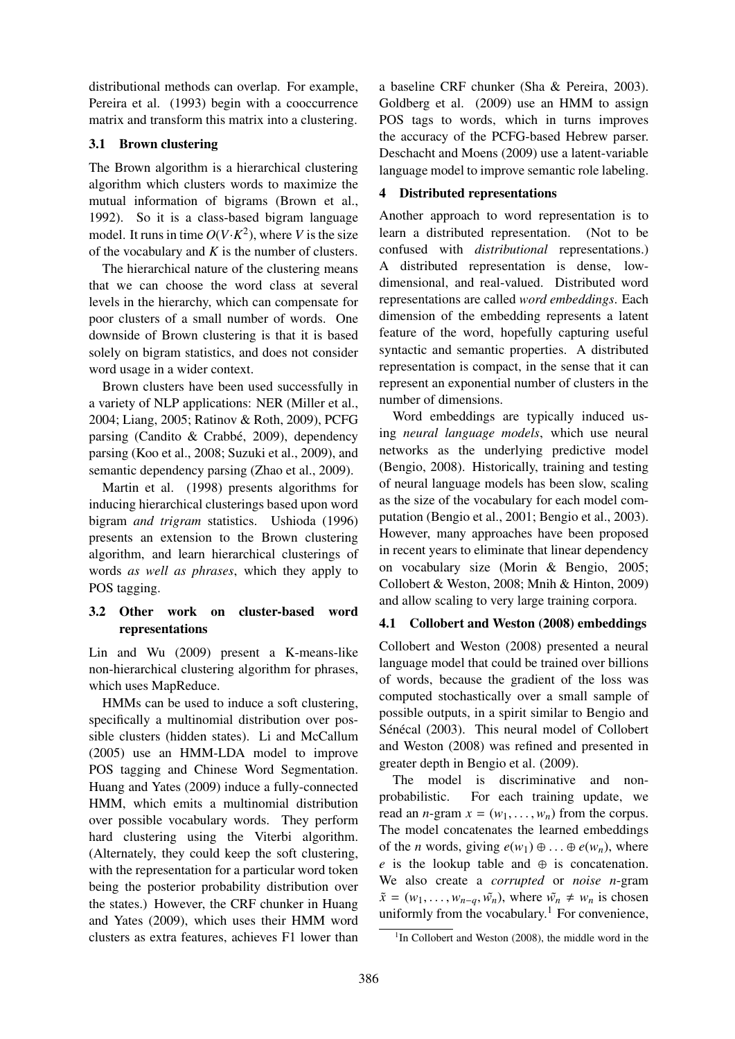distributional methods can overlap. For example, Pereira et al. (1993) begin with a cooccurrence matrix and transform this matrix into a clustering.

### 3.1 Brown clustering

The Brown algorithm is a hierarchical clustering algorithm which clusters words to maximize the mutual information of bigrams (Brown et al., 1992). So it is a class-based bigram language model. It runs in time  $O(V \cdot K^2)$ , where *V* is the size of the vocabulary and *K* is the number of clusters.

The hierarchical nature of the clustering means that we can choose the word class at several levels in the hierarchy, which can compensate for poor clusters of a small number of words. One downside of Brown clustering is that it is based solely on bigram statistics, and does not consider word usage in a wider context.

Brown clusters have been used successfully in a variety of NLP applications: NER (Miller et al., 2004; Liang, 2005; Ratinov & Roth, 2009), PCFG parsing (Candito & Crabbé, 2009), dependency parsing (Koo et al., 2008; Suzuki et al., 2009), and semantic dependency parsing (Zhao et al., 2009).

Martin et al. (1998) presents algorithms for inducing hierarchical clusterings based upon word bigram *and trigram* statistics. Ushioda (1996) presents an extension to the Brown clustering algorithm, and learn hierarchical clusterings of words *as well as phrases*, which they apply to POS tagging.

## 3.2 Other work on cluster-based word representations

Lin and Wu (2009) present a K-means-like non-hierarchical clustering algorithm for phrases, which uses MapReduce.

HMMs can be used to induce a soft clustering, specifically a multinomial distribution over possible clusters (hidden states). Li and McCallum (2005) use an HMM-LDA model to improve POS tagging and Chinese Word Segmentation. Huang and Yates (2009) induce a fully-connected HMM, which emits a multinomial distribution over possible vocabulary words. They perform hard clustering using the Viterbi algorithm. (Alternately, they could keep the soft clustering, with the representation for a particular word token being the posterior probability distribution over the states.) However, the CRF chunker in Huang and Yates (2009), which uses their HMM word clusters as extra features, achieves F1 lower than

a baseline CRF chunker (Sha & Pereira, 2003). Goldberg et al. (2009) use an HMM to assign POS tags to words, which in turns improves the accuracy of the PCFG-based Hebrew parser. Deschacht and Moens (2009) use a latent-variable language model to improve semantic role labeling.

## 4 Distributed representations

Another approach to word representation is to learn a distributed representation. (Not to be confused with *distributional* representations.) A distributed representation is dense, lowdimensional, and real-valued. Distributed word representations are called *word embeddings*. Each dimension of the embedding represents a latent feature of the word, hopefully capturing useful syntactic and semantic properties. A distributed representation is compact, in the sense that it can represent an exponential number of clusters in the number of dimensions.

Word embeddings are typically induced using *neural language models*, which use neural networks as the underlying predictive model (Bengio, 2008). Historically, training and testing of neural language models has been slow, scaling as the size of the vocabulary for each model computation (Bengio et al., 2001; Bengio et al., 2003). However, many approaches have been proposed in recent years to eliminate that linear dependency on vocabulary size (Morin & Bengio, 2005; Collobert & Weston, 2008; Mnih & Hinton, 2009) and allow scaling to very large training corpora.

## 4.1 Collobert and Weston (2008) embeddings

Collobert and Weston (2008) presented a neural language model that could be trained over billions of words, because the gradient of the loss was computed stochastically over a small sample of possible outputs, in a spirit similar to Bengio and Sénécal (2003). This neural model of Collobert and Weston (2008) was refined and presented in greater depth in Bengio et al. (2009).

The model is discriminative and nonprobabilistic. For each training update, we read an *n*-gram  $x = (w_1, \ldots, w_n)$  from the corpus. The model concatenates the learned embeddings of the *n* words, giving  $e(w_1) \oplus ... \oplus e(w_n)$ , where *e* is the lookup table and  $oplus$  is concatenation. We also create a *corrupted* or *noise n*-gram  $\tilde{x} = (w_1, \ldots, w_{n-q}, \tilde{w_n})$ , where  $\tilde{w_n} \neq w_n$  is chosen uniformly from the vocabulary.<sup>1</sup> For convenience,

<sup>&</sup>lt;sup>1</sup>In Collobert and Weston (2008), the middle word in the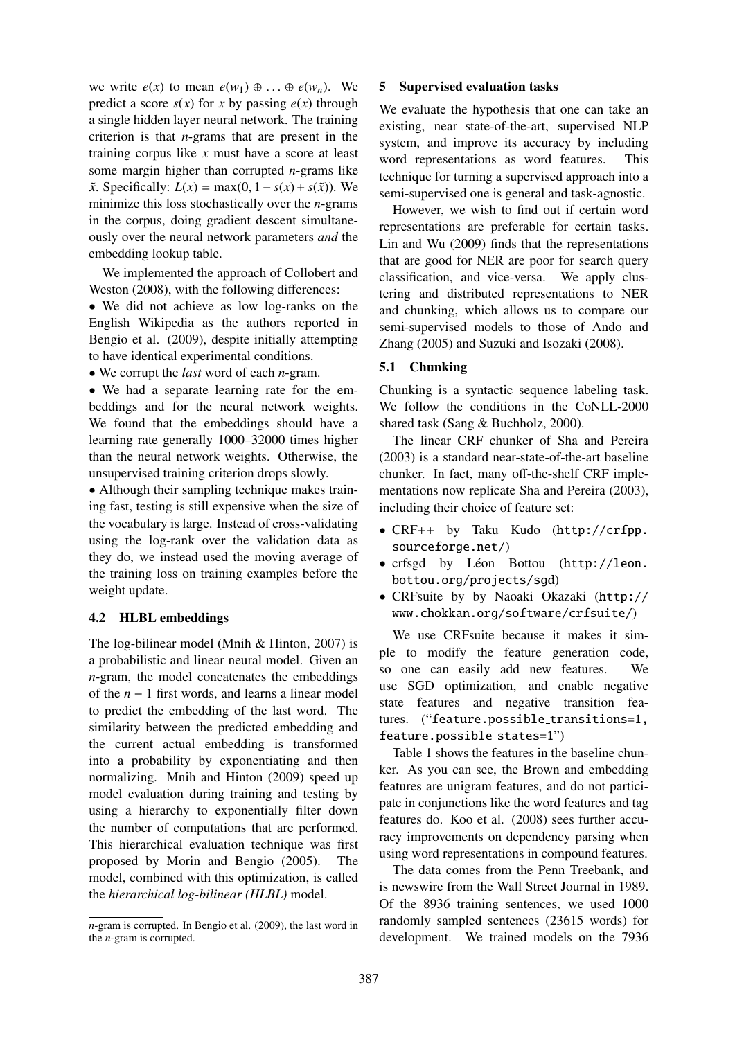we write  $e(x)$  to mean  $e(w_1) \oplus \ldots \oplus e(w_n)$ . We predict a score  $s(x)$  for *x* by passing  $e(x)$  through a single hidden layer neural network. The training criterion is that *n*-grams that are present in the training corpus like *x* must have a score at least some margin higher than corrupted *n*-grams like  $\tilde{x}$ . Specifically:  $L(x) = \max(0, 1 - s(x) + s(\tilde{x}))$ . We minimize this loss stochastically over the *n*-grams in the corpus, doing gradient descent simultaneously over the neural network parameters *and* the embedding lookup table.

We implemented the approach of Collobert and Weston (2008), with the following differences:

• We did not achieve as low log-ranks on the English Wikipedia as the authors reported in Bengio et al. (2009), despite initially attempting to have identical experimental conditions.

• We corrupt the *last* word of each *n*-gram.

• We had a separate learning rate for the embeddings and for the neural network weights. We found that the embeddings should have a learning rate generally 1000–32000 times higher than the neural network weights. Otherwise, the unsupervised training criterion drops slowly.

• Although their sampling technique makes training fast, testing is still expensive when the size of the vocabulary is large. Instead of cross-validating using the log-rank over the validation data as they do, we instead used the moving average of the training loss on training examples before the weight update.

### 4.2 HLBL embeddings

The log-bilinear model (Mnih & Hinton, 2007) is a probabilistic and linear neural model. Given an *n*-gram, the model concatenates the embeddings of the *n* − 1 first words, and learns a linear model to predict the embedding of the last word. The similarity between the predicted embedding and the current actual embedding is transformed into a probability by exponentiating and then normalizing. Mnih and Hinton (2009) speed up model evaluation during training and testing by using a hierarchy to exponentially filter down the number of computations that are performed. This hierarchical evaluation technique was first proposed by Morin and Bengio (2005). The model, combined with this optimization, is called the *hierarchical log-bilinear (HLBL)* model.

### 5 Supervised evaluation tasks

We evaluate the hypothesis that one can take an existing, near state-of-the-art, supervised NLP system, and improve its accuracy by including word representations as word features. This technique for turning a supervised approach into a semi-supervised one is general and task-agnostic.

However, we wish to find out if certain word representations are preferable for certain tasks. Lin and Wu (2009) finds that the representations that are good for NER are poor for search query classification, and vice-versa. We apply clustering and distributed representations to NER and chunking, which allows us to compare our semi-supervised models to those of Ando and Zhang (2005) and Suzuki and Isozaki (2008).

### 5.1 Chunking

Chunking is a syntactic sequence labeling task. We follow the conditions in the CoNLL-2000 shared task (Sang & Buchholz, 2000).

The linear CRF chunker of Sha and Pereira (2003) is a standard near-state-of-the-art baseline chunker. In fact, many off-the-shelf CRF implementations now replicate Sha and Pereira (2003), including their choice of feature set:

- CRF++ by Taku Kudo (http://crfpp. sourceforge.net/)
- crfsgd by Léon Bottou (http://leon. bottou.org/projects/sgd)
- CRFsuite by by Naoaki Okazaki (http:// www.chokkan.org/software/crfsuite/)

We use CRFsuite because it makes it simple to modify the feature generation code, so one can easily add new features. We use SGD optimization, and enable negative state features and negative transition features. ("feature.possible\_transitions=1, feature.possible\_states=1")

Table 1 shows the features in the baseline chunker. As you can see, the Brown and embedding features are unigram features, and do not participate in conjunctions like the word features and tag features do. Koo et al. (2008) sees further accuracy improvements on dependency parsing when using word representations in compound features.

The data comes from the Penn Treebank, and is newswire from the Wall Street Journal in 1989. Of the 8936 training sentences, we used 1000 randomly sampled sentences (23615 words) for development. We trained models on the 7936

*n*-gram is corrupted. In Bengio et al. (2009), the last word in the *n*-gram is corrupted.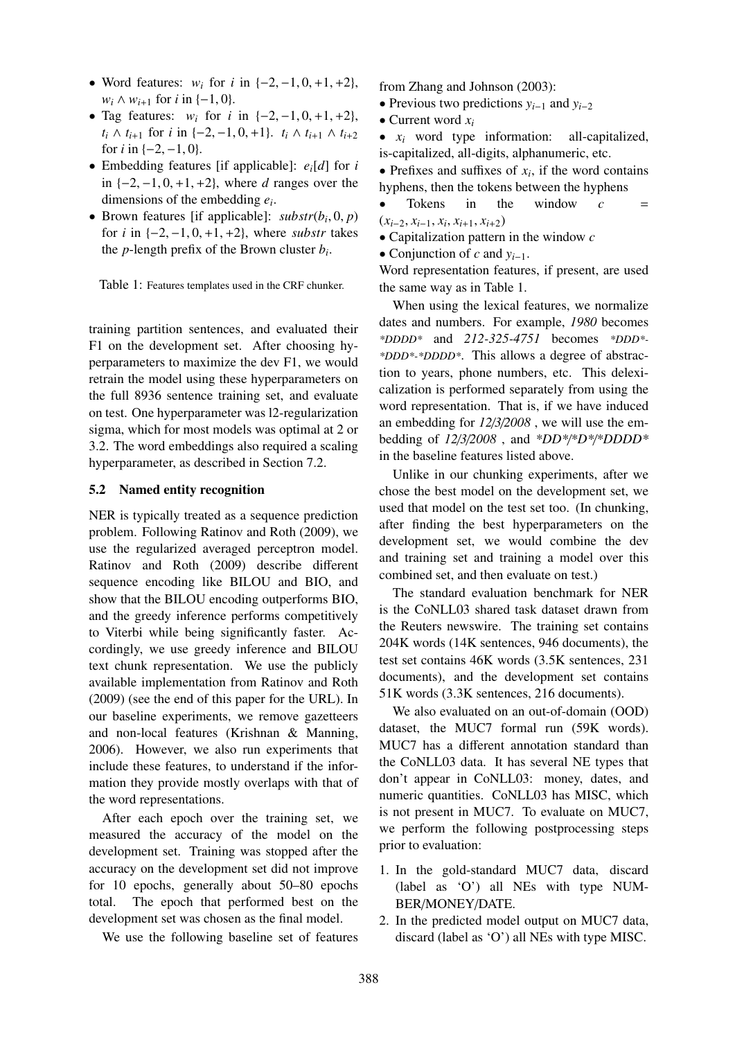- Word features: *<sup>w</sup><sup>i</sup>* for *<sup>i</sup>* in {−2, <sup>−</sup>1, <sup>0</sup>, <sup>+</sup>1, <sup>+</sup>2}, *w<sub>i</sub>* ∧ *w*<sub>*i*+1</sub> for *i* in {−1, 0}.
- Tag features:  $w_i$  for  $i$  in  $\{-2, -1, 0, +1, +2\}$ , *t*<sub>*i*</sub> ∧ *t*<sub>*i*+1</sub> for *i* in {−2, −1, 0, +1}. *t*<sub>*i*</sub> ∧ *t*<sub>*i*+1</sub> ∧ *t*<sub>*i*+2</sub> for *i* in  $\{-2, -1, 0\}$ .
- Embedding features [if applicable]: *ei*[*d*] for *i* in {−2, <sup>−</sup>1, <sup>0</sup>, <sup>+</sup>1, <sup>+</sup>2}, where *<sup>d</sup>* ranges over the dimensions of the embedding *e<sup>i</sup>* .
- Brown features [if applicable]: *substr*( $b_i$ , 0, *p*)<br>for *i* in  $\{-2, -1, 0, +1, +2\}$ , where *substration* for *i* in  $\{-2, -1, 0, +1, +2\}$ , where *substr* takes the *p*-length prefix of the Brown cluster *b<sup>i</sup>* .

Table 1: Features templates used in the CRF chunker.

training partition sentences, and evaluated their F1 on the development set. After choosing hyperparameters to maximize the dev F1, we would retrain the model using these hyperparameters on the full 8936 sentence training set, and evaluate on test. One hyperparameter was l2-regularization sigma, which for most models was optimal at 2 or 3.2. The word embeddings also required a scaling hyperparameter, as described in Section 7.2.

#### 5.2 Named entity recognition

NER is typically treated as a sequence prediction problem. Following Ratinov and Roth (2009), we use the regularized averaged perceptron model. Ratinov and Roth (2009) describe different sequence encoding like BILOU and BIO, and show that the BILOU encoding outperforms BIO, and the greedy inference performs competitively to Viterbi while being significantly faster. Accordingly, we use greedy inference and BILOU text chunk representation. We use the publicly available implementation from Ratinov and Roth (2009) (see the end of this paper for the URL). In our baseline experiments, we remove gazetteers and non-local features (Krishnan & Manning, 2006). However, we also run experiments that include these features, to understand if the information they provide mostly overlaps with that of the word representations.

After each epoch over the training set, we measured the accuracy of the model on the development set. Training was stopped after the accuracy on the development set did not improve for 10 epochs, generally about 50–80 epochs total. The epoch that performed best on the development set was chosen as the final model.

We use the following baseline set of features

from Zhang and Johnson (2003):

- Previous two predictions *yi*−<sup>1</sup> and *yi*−<sup>2</sup>
- Current word *x<sup>i</sup>*
- *x<sup>i</sup>* word type information: all-capitalized, is-capitalized, all-digits, alphanumeric, etc.

• Prefixes and suffixes of  $x_i$ , if the word contains hyphens, then the tokens between the hyphens

- $T$ okens in the window  $c$  $(x_{i-2}, x_{i-1}, x_i, x_{i+1}, x_{i+2})$ <br>
■ Capitalization pattern
- Capitalization pattern in the window *c*
- Conjunction of *c* and *yi*−1.

Word representation features, if present, are used the same way as in Table 1.

When using the lexical features, we normalize dates and numbers. For example, *1980* becomes *\*DDDD\** and *212-325-4751* becomes *\*DDD\*- \*DDD\*-\*DDDD\**. This allows a degree of abstraction to years, phone numbers, etc. This delexicalization is performed separately from using the word representation. That is, if we have induced an embedding for *12*/*3*/*2008* , we will use the embedding of *12*/*3*/*2008* , and *\*DD\**/*\*D\**/*\*DDDD\** in the baseline features listed above.

Unlike in our chunking experiments, after we chose the best model on the development set, we used that model on the test set too. (In chunking, after finding the best hyperparameters on the development set, we would combine the dev and training set and training a model over this combined set, and then evaluate on test.)

The standard evaluation benchmark for NER is the CoNLL03 shared task dataset drawn from the Reuters newswire. The training set contains 204K words (14K sentences, 946 documents), the test set contains 46K words (3.5K sentences, 231 documents), and the development set contains 51K words (3.3K sentences, 216 documents).

We also evaluated on an out-of-domain (OOD) dataset, the MUC7 formal run (59K words). MUC7 has a different annotation standard than the CoNLL03 data. It has several NE types that don't appear in CoNLL03: money, dates, and numeric quantities. CoNLL03 has MISC, which is not present in MUC7. To evaluate on MUC7, we perform the following postprocessing steps prior to evaluation:

- 1. In the gold-standard MUC7 data, discard (label as 'O') all NEs with type NUM-BER/MONEY/DATE.
- 2. In the predicted model output on MUC7 data, discard (label as 'O') all NEs with type MISC.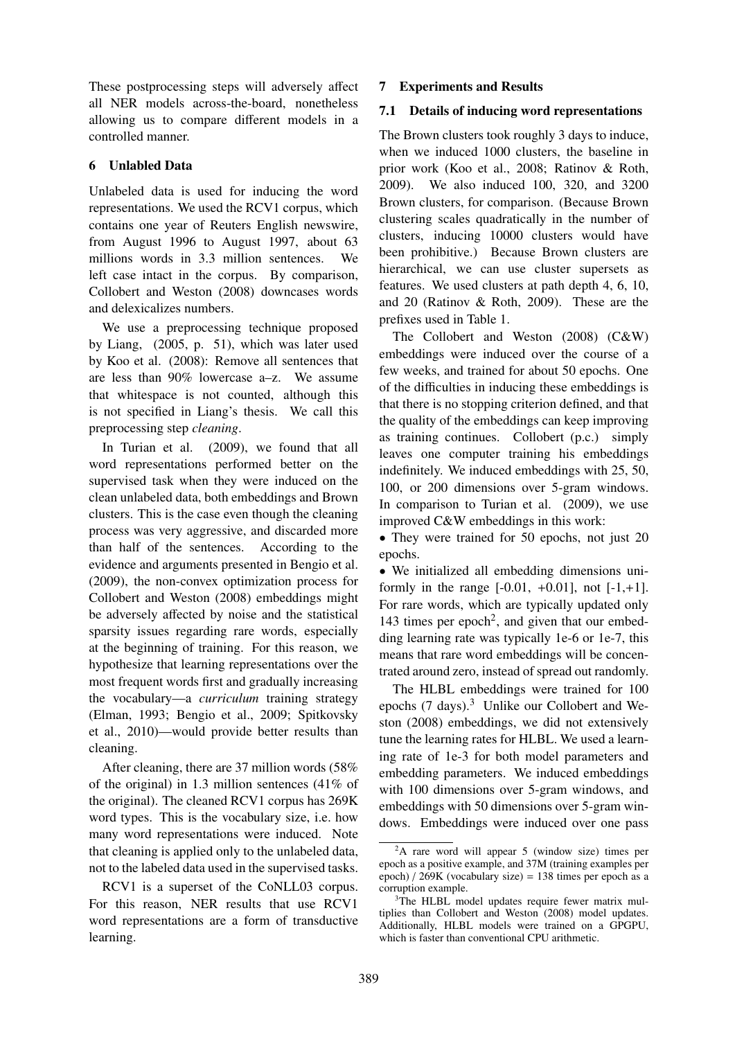These postprocessing steps will adversely affect all NER models across-the-board, nonetheless allowing us to compare different models in a controlled manner.

### 6 Unlabled Data

Unlabeled data is used for inducing the word representations. We used the RCV1 corpus, which contains one year of Reuters English newswire, from August 1996 to August 1997, about 63 millions words in 3.3 million sentences. We left case intact in the corpus. By comparison, Collobert and Weston (2008) downcases words and delexicalizes numbers.

We use a preprocessing technique proposed by Liang, (2005, p. 51), which was later used by Koo et al. (2008): Remove all sentences that are less than 90% lowercase a–z. We assume that whitespace is not counted, although this is not specified in Liang's thesis. We call this preprocessing step *cleaning*.

In Turian et al. (2009), we found that all word representations performed better on the supervised task when they were induced on the clean unlabeled data, both embeddings and Brown clusters. This is the case even though the cleaning process was very aggressive, and discarded more than half of the sentences. According to the evidence and arguments presented in Bengio et al. (2009), the non-convex optimization process for Collobert and Weston (2008) embeddings might be adversely affected by noise and the statistical sparsity issues regarding rare words, especially at the beginning of training. For this reason, we hypothesize that learning representations over the most frequent words first and gradually increasing the vocabulary—a *curriculum* training strategy (Elman, 1993; Bengio et al., 2009; Spitkovsky et al., 2010)—would provide better results than cleaning.

After cleaning, there are 37 million words (58% of the original) in 1.3 million sentences (41% of the original). The cleaned RCV1 corpus has 269K word types. This is the vocabulary size, i.e. how many word representations were induced. Note that cleaning is applied only to the unlabeled data, not to the labeled data used in the supervised tasks.

RCV1 is a superset of the CoNLL03 corpus. For this reason, NER results that use RCV1 word representations are a form of transductive learning.

## 7 Experiments and Results

### 7.1 Details of inducing word representations

The Brown clusters took roughly 3 days to induce, when we induced 1000 clusters, the baseline in prior work (Koo et al., 2008; Ratinov & Roth, 2009). We also induced 100, 320, and 3200 Brown clusters, for comparison. (Because Brown clustering scales quadratically in the number of clusters, inducing 10000 clusters would have been prohibitive.) Because Brown clusters are hierarchical, we can use cluster supersets as features. We used clusters at path depth 4, 6, 10, and 20 (Ratinov & Roth, 2009). These are the prefixes used in Table 1.

The Collobert and Weston (2008) (C&W) embeddings were induced over the course of a few weeks, and trained for about 50 epochs. One of the difficulties in inducing these embeddings is that there is no stopping criterion defined, and that the quality of the embeddings can keep improving as training continues. Collobert (p.c.) simply leaves one computer training his embeddings indefinitely. We induced embeddings with 25, 50, 100, or 200 dimensions over 5-gram windows. In comparison to Turian et al. (2009), we use improved C&W embeddings in this work:

• They were trained for 50 epochs, not just 20 epochs.

• We initialized all embedding dimensions uniformly in the range  $[-0.01, +0.01]$ , not  $[-1, +1]$ . For rare words, which are typically updated only 143 times per epoch<sup>2</sup>, and given that our embedding learning rate was typically 1e-6 or 1e-7, this means that rare word embeddings will be concentrated around zero, instead of spread out randomly.

The HLBL embeddings were trained for 100 epochs (7 days).<sup>3</sup> Unlike our Collobert and Weston (2008) embeddings, we did not extensively tune the learning rates for HLBL. We used a learning rate of 1e-3 for both model parameters and embedding parameters. We induced embeddings with 100 dimensions over 5-gram windows, and embeddings with 50 dimensions over 5-gram windows. Embeddings were induced over one pass

<sup>2</sup>A rare word will appear 5 (window size) times per epoch as a positive example, and 37M (training examples per epoch) / 269K (vocabulary size) = 138 times per epoch as a corruption example.

<sup>&</sup>lt;sup>3</sup>The HLBL model updates require fewer matrix multiplies than Collobert and Weston (2008) model updates. Additionally, HLBL models were trained on a GPGPU, which is faster than conventional CPU arithmetic.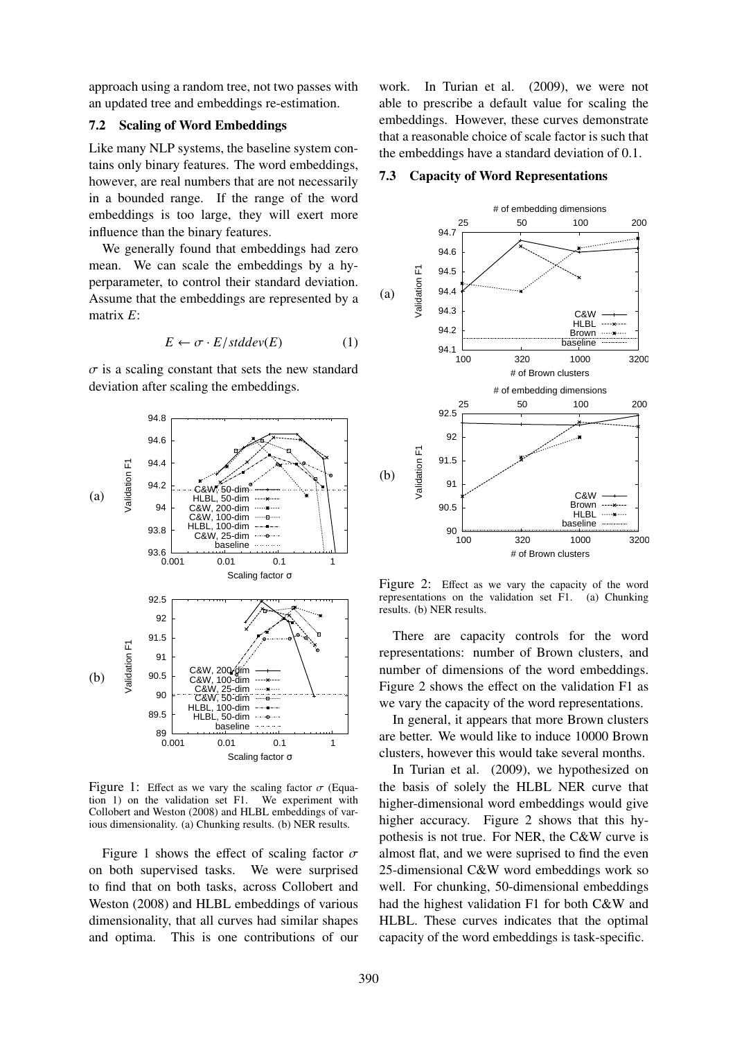approach using a random tree, not two passes with an updated tree and embeddings re-estimation.

### 7.2 Scaling of Word Embeddings

Like many NLP systems, the baseline system contains only binary features. The word embeddings, however, are real numbers that are not necessarily in a bounded range. If the range of the word embeddings is too large, they will exert more influence than the binary features.

We generally found that embeddings had zero mean. We can scale the embeddings by a hyperparameter, to control their standard deviation. Assume that the embeddings are represented by a matrix *E*:

$$
E \leftarrow \sigma \cdot E / stddev(E) \tag{1}
$$

 $\sigma$  is a scaling constant that sets the new standard deviation after scaling the embeddings.



Figure 1: Effect as we vary the scaling factor  $\sigma$  (Equation 1) on the validation set F1. We experiment with tion 1) on the validation set  $F1$ . Collobert and Weston (2008) and HLBL embeddings of various dimensionality. (a) Chunking results. (b) NER results.

Figure 1 shows the effect of scaling factor  $\sigma$ on both supervised tasks. We were surprised to find that on both tasks, across Collobert and Weston (2008) and HLBL embeddings of various dimensionality, that all curves had similar shapes and optima. This is one contributions of our

work. In Turian et al. (2009), we were not able to prescribe a default value for scaling the embeddings. However, these curves demonstrate that a reasonable choice of scale factor is such that the embeddings have a standard deviation of 0.1.

#### 7.3 Capacity of Word Representations



Figure 2: Effect as we vary the capacity of the word representations on the validation set F1. (a) Chunking results. (b) NER results.

There are capacity controls for the word representations: number of Brown clusters, and number of dimensions of the word embeddings. Figure 2 shows the effect on the validation F1 as we vary the capacity of the word representations.

In general, it appears that more Brown clusters are better. We would like to induce 10000 Brown clusters, however this would take several months.

In Turian et al. (2009), we hypothesized on the basis of solely the HLBL NER curve that higher-dimensional word embeddings would give higher accuracy. Figure 2 shows that this hypothesis is not true. For NER, the C&W curve is almost flat, and we were suprised to find the even 25-dimensional C&W word embeddings work so well. For chunking, 50-dimensional embeddings had the highest validation F1 for both C&W and HLBL. These curves indicates that the optimal capacity of the word embeddings is task-specific.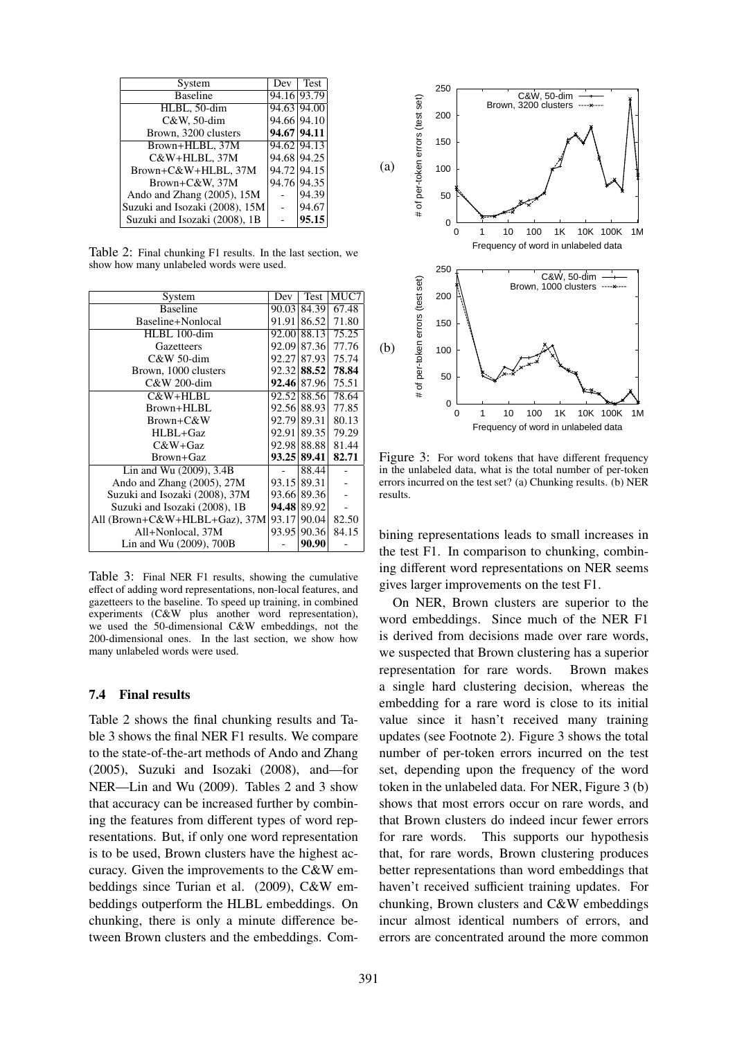| System                         | Dev         | <b>Test</b> |
|--------------------------------|-------------|-------------|
| <b>Baseline</b>                | 94.16 93.79 |             |
| HLBL, 50-dim                   | 94.63 94.00 |             |
| C&W, 50-dim                    | 94.66 94.10 |             |
| Brown, 3200 clusters           | 94.67 94.11 |             |
| Brown+HLBL, 37M                | 94.62 94.13 |             |
| C&W+HLBL, 37M                  | 94.68 94.25 |             |
| Brown+C&W+HLBL, 37M            |             | 94.72 94.15 |
| Brown+C&W, 37M                 | 94.76 94.35 |             |
| Ando and Zhang (2005), 15M     |             | 94.39       |
| Suzuki and Isozaki (2008), 15M |             | 94.67       |
| Suzuki and Isozaki (2008), 1B  |             | 95.15       |

Table 2: Final chunking F1 results. In the last section, we show how many unlabeled words were used.

| System                         | Dev   | Test        | MUC7  |
|--------------------------------|-------|-------------|-------|
| <b>Baseline</b>                | 90.03 | 84.39       | 67.48 |
| Baseline+Nonlocal              | 91.91 | 86.52       | 71.80 |
| HLBL 100-dim                   | 92.00 | 88.13       | 75.25 |
| Gazetteers                     | 92.09 | 87.36       | 77.76 |
| C&W 50-dim                     |       | 92.27 87.93 | 75.74 |
| Brown, 1000 clusters           |       | 92.32 88.52 | 78.84 |
| C&W 200-dim                    |       | 92.46 87.96 | 75.51 |
| $C&W+HLBL$                     |       | 92.52 88.56 | 78.64 |
| $Brown+HLEL$                   |       | 92.56 88.93 | 77.85 |
| $Brown+C&W$                    | 92.79 | 89.31       | 80.13 |
| HLBL+Gaz                       | 92.91 | 89.35       | 79.29 |
| $C&W+Gaz$                      |       | 92.98 88.88 | 81.44 |
| Brown+Gaz                      |       | 93.25 89.41 | 82.71 |
| Lin and Wu (2009), 3.4B        |       | 88.44       |       |
| Ando and Zhang (2005), 27M     | 93.15 | 89.31       |       |
| Suzuki and Isozaki (2008), 37M |       | 93.66 89.36 |       |
| Suzuki and Isozaki (2008), 1B  | 94.48 | 89.92       |       |
| All (Brown+C&W+HLBL+Gaz), 37M  | 93.17 | 90.04       | 82.50 |
| All+Nonlocal, 37M              | 93.95 | 90.36       | 84.15 |
| Lin and Wu (2009), 700B        |       | 90.90       |       |

Table 3: Final NER F1 results, showing the cumulative effect of adding word representations, non-local features, and gazetteers to the baseline. To speed up training, in combined experiments (C&W plus another word representation), we used the 50-dimensional C&W embeddings, not the 200-dimensional ones. In the last section, we show how many unlabeled words were used.

### 7.4 Final results

Table 2 shows the final chunking results and Table 3 shows the final NER F1 results. We compare to the state-of-the-art methods of Ando and Zhang (2005), Suzuki and Isozaki (2008), and—for NER—Lin and Wu (2009). Tables 2 and 3 show that accuracy can be increased further by combining the features from different types of word representations. But, if only one word representation is to be used, Brown clusters have the highest accuracy. Given the improvements to the C&W embeddings since Turian et al. (2009), C&W embeddings outperform the HLBL embeddings. On chunking, there is only a minute difference between Brown clusters and the embeddings. Com-



Figure 3: For word tokens that have different frequency in the unlabeled data, what is the total number of per-token errors incurred on the test set? (a) Chunking results. (b) NER results.

bining representations leads to small increases in the test F1. In comparison to chunking, combining different word representations on NER seems gives larger improvements on the test F1.

On NER, Brown clusters are superior to the word embeddings. Since much of the NER F1 is derived from decisions made over rare words, we suspected that Brown clustering has a superior representation for rare words. Brown makes a single hard clustering decision, whereas the embedding for a rare word is close to its initial value since it hasn't received many training updates (see Footnote 2). Figure 3 shows the total number of per-token errors incurred on the test set, depending upon the frequency of the word token in the unlabeled data. For NER, Figure 3 (b) shows that most errors occur on rare words, and that Brown clusters do indeed incur fewer errors for rare words. This supports our hypothesis that, for rare words, Brown clustering produces better representations than word embeddings that haven't received sufficient training updates. For chunking, Brown clusters and C&W embeddings incur almost identical numbers of errors, and errors are concentrated around the more common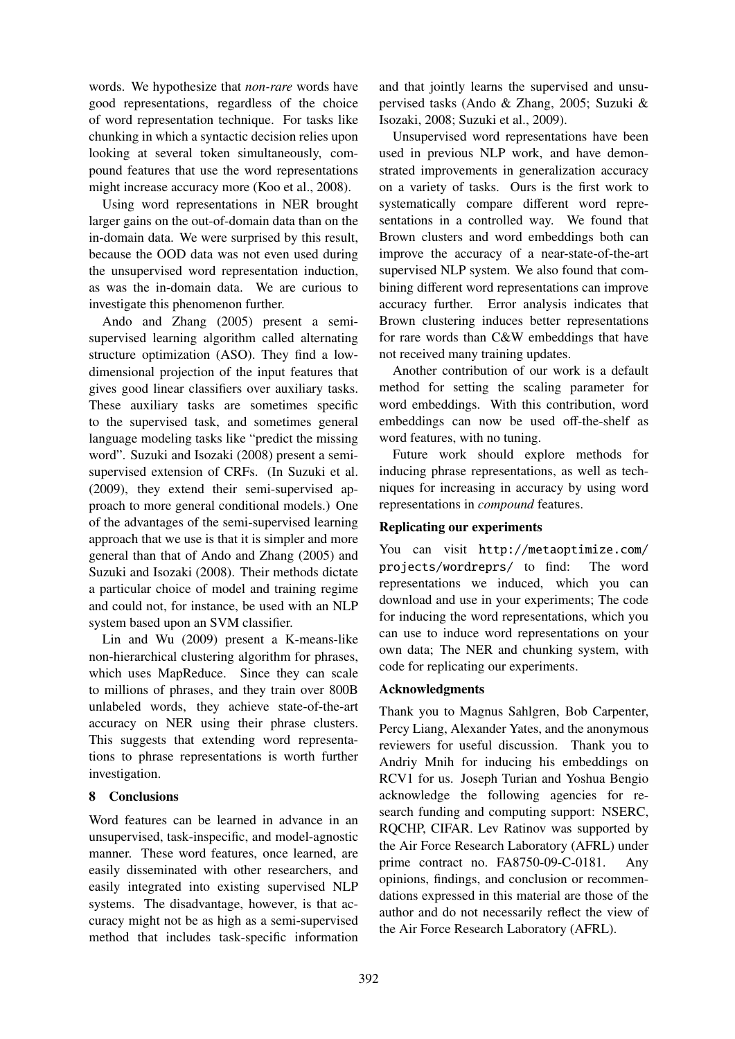words. We hypothesize that *non-rare* words have good representations, regardless of the choice of word representation technique. For tasks like chunking in which a syntactic decision relies upon looking at several token simultaneously, compound features that use the word representations might increase accuracy more (Koo et al., 2008).

Using word representations in NER brought larger gains on the out-of-domain data than on the in-domain data. We were surprised by this result, because the OOD data was not even used during the unsupervised word representation induction, as was the in-domain data. We are curious to investigate this phenomenon further.

Ando and Zhang (2005) present a semisupervised learning algorithm called alternating structure optimization (ASO). They find a lowdimensional projection of the input features that gives good linear classifiers over auxiliary tasks. These auxiliary tasks are sometimes specific to the supervised task, and sometimes general language modeling tasks like "predict the missing word". Suzuki and Isozaki (2008) present a semisupervised extension of CRFs. (In Suzuki et al. (2009), they extend their semi-supervised approach to more general conditional models.) One of the advantages of the semi-supervised learning approach that we use is that it is simpler and more general than that of Ando and Zhang (2005) and Suzuki and Isozaki (2008). Their methods dictate a particular choice of model and training regime and could not, for instance, be used with an NLP system based upon an SVM classifier.

Lin and Wu (2009) present a K-means-like non-hierarchical clustering algorithm for phrases, which uses MapReduce. Since they can scale to millions of phrases, and they train over 800B unlabeled words, they achieve state-of-the-art accuracy on NER using their phrase clusters. This suggests that extending word representations to phrase representations is worth further investigation.

## 8 Conclusions

Word features can be learned in advance in an unsupervised, task-inspecific, and model-agnostic manner. These word features, once learned, are easily disseminated with other researchers, and easily integrated into existing supervised NLP systems. The disadvantage, however, is that accuracy might not be as high as a semi-supervised method that includes task-specific information

and that jointly learns the supervised and unsupervised tasks (Ando & Zhang, 2005; Suzuki & Isozaki, 2008; Suzuki et al., 2009).

Unsupervised word representations have been used in previous NLP work, and have demonstrated improvements in generalization accuracy on a variety of tasks. Ours is the first work to systematically compare different word representations in a controlled way. We found that Brown clusters and word embeddings both can improve the accuracy of a near-state-of-the-art supervised NLP system. We also found that combining different word representations can improve accuracy further. Error analysis indicates that Brown clustering induces better representations for rare words than C&W embeddings that have not received many training updates.

Another contribution of our work is a default method for setting the scaling parameter for word embeddings. With this contribution, word embeddings can now be used off-the-shelf as word features, with no tuning.

Future work should explore methods for inducing phrase representations, as well as techniques for increasing in accuracy by using word representations in *compound* features.

### Replicating our experiments

You can visit http://metaoptimize.com/ projects/wordreprs/ to find: The word representations we induced, which you can download and use in your experiments; The code for inducing the word representations, which you can use to induce word representations on your own data; The NER and chunking system, with code for replicating our experiments.

### Acknowledgments

Thank you to Magnus Sahlgren, Bob Carpenter, Percy Liang, Alexander Yates, and the anonymous reviewers for useful discussion. Thank you to Andriy Mnih for inducing his embeddings on RCV1 for us. Joseph Turian and Yoshua Bengio acknowledge the following agencies for research funding and computing support: NSERC, RQCHP, CIFAR. Lev Ratinov was supported by the Air Force Research Laboratory (AFRL) under prime contract no. FA8750-09-C-0181. Any opinions, findings, and conclusion or recommendations expressed in this material are those of the author and do not necessarily reflect the view of the Air Force Research Laboratory (AFRL).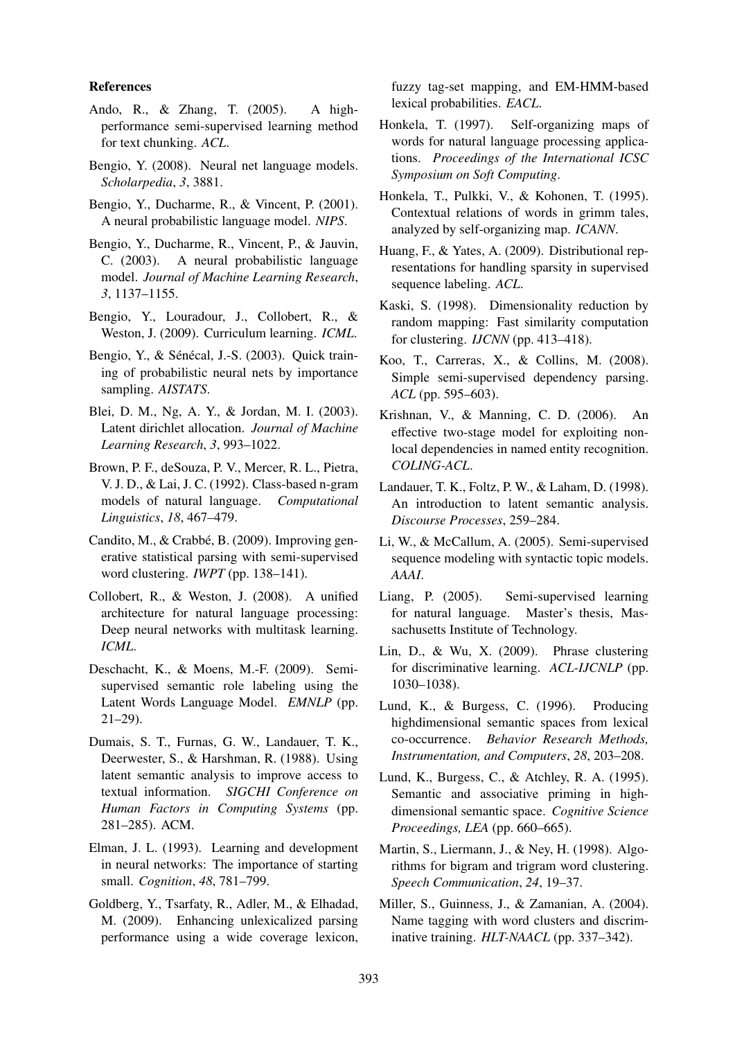### References

- Ando, R., & Zhang, T. (2005). A highperformance semi-supervised learning method for text chunking. *ACL*.
- Bengio, Y. (2008). Neural net language models. *Scholarpedia*, *3*, 3881.
- Bengio, Y., Ducharme, R., & Vincent, P. (2001). A neural probabilistic language model. *NIPS*.
- Bengio, Y., Ducharme, R., Vincent, P., & Jauvin, C. (2003). A neural probabilistic language model. *Journal of Machine Learning Research*, *3*, 1137–1155.
- Bengio, Y., Louradour, J., Collobert, R., & Weston, J. (2009). Curriculum learning. *ICML*.
- Bengio, Y., & Sénécal, J.-S. (2003). Quick training of probabilistic neural nets by importance sampling. *AISTATS*.
- Blei, D. M., Ng, A. Y., & Jordan, M. I. (2003). Latent dirichlet allocation. *Journal of Machine Learning Research*, *3*, 993–1022.
- Brown, P. F., deSouza, P. V., Mercer, R. L., Pietra, V. J. D., & Lai, J. C. (1992). Class-based n-gram models of natural language. *Computational Linguistics*, *18*, 467–479.
- Candito, M.,  $&$  Crabbé, B. (2009). Improving generative statistical parsing with semi-supervised word clustering. *IWPT* (pp. 138–141).
- Collobert, R., & Weston, J. (2008). A unified architecture for natural language processing: Deep neural networks with multitask learning. *ICML*.
- Deschacht, K., & Moens, M.-F. (2009). Semisupervised semantic role labeling using the Latent Words Language Model. *EMNLP* (pp. 21–29).
- Dumais, S. T., Furnas, G. W., Landauer, T. K., Deerwester, S., & Harshman, R. (1988). Using latent semantic analysis to improve access to textual information. *SIGCHI Conference on Human Factors in Computing Systems* (pp. 281–285). ACM.
- Elman, J. L. (1993). Learning and development in neural networks: The importance of starting small. *Cognition*, *48*, 781–799.
- Goldberg, Y., Tsarfaty, R., Adler, M., & Elhadad, M. (2009). Enhancing unlexicalized parsing performance using a wide coverage lexicon,

fuzzy tag-set mapping, and EM-HMM-based lexical probabilities. *EACL*.

- Honkela, T. (1997). Self-organizing maps of words for natural language processing applications. *Proceedings of the International ICSC Symposium on Soft Computing*.
- Honkela, T., Pulkki, V., & Kohonen, T. (1995). Contextual relations of words in grimm tales, analyzed by self-organizing map. *ICANN*.
- Huang, F., & Yates, A. (2009). Distributional representations for handling sparsity in supervised sequence labeling. *ACL*.
- Kaski, S. (1998). Dimensionality reduction by random mapping: Fast similarity computation for clustering. *IJCNN* (pp. 413–418).
- Koo, T., Carreras, X., & Collins, M. (2008). Simple semi-supervised dependency parsing. *ACL* (pp. 595–603).
- Krishnan, V., & Manning, C. D. (2006). An effective two-stage model for exploiting nonlocal dependencies in named entity recognition. *COLING-ACL*.
- Landauer, T. K., Foltz, P. W., & Laham, D. (1998). An introduction to latent semantic analysis. *Discourse Processes*, 259–284.
- Li, W., & McCallum, A. (2005). Semi-supervised sequence modeling with syntactic topic models. *AAAI*.
- Liang, P. (2005). Semi-supervised learning for natural language. Master's thesis, Massachusetts Institute of Technology.
- Lin, D., & Wu, X. (2009). Phrase clustering for discriminative learning. *ACL-IJCNLP* (pp. 1030–1038).
- Lund, K., & Burgess, C. (1996). Producing highdimensional semantic spaces from lexical co-occurrence. *Behavior Research Methods, Instrumentation, and Computers*, *28*, 203–208.
- Lund, K., Burgess, C., & Atchley, R. A. (1995). Semantic and associative priming in highdimensional semantic space. *Cognitive Science Proceedings, LEA* (pp. 660–665).
- Martin, S., Liermann, J., & Ney, H. (1998). Algorithms for bigram and trigram word clustering. *Speech Communication*, *24*, 19–37.
- Miller, S., Guinness, J., & Zamanian, A. (2004). Name tagging with word clusters and discriminative training. *HLT-NAACL* (pp. 337–342).